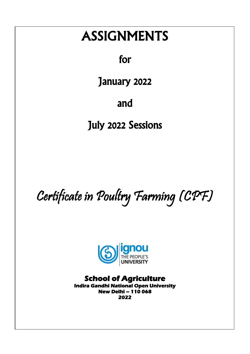# ASSIGNMENTS

for

January 2022

and

July 2022 Sessions

Certificate in Poultry Farming (CPF)



**School of Agriculture Indira Gandhi National Open University New Delhi – 110 068 2022**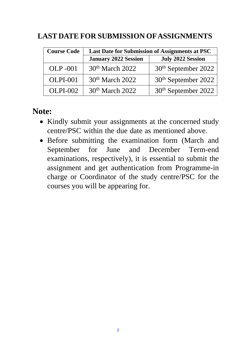## **LAST DATE FOR SUBMISSION OFASSIGNMENTS**

| <b>Course Code</b> | Last Date for Submission of Assignments at PSC |                                 |
|--------------------|------------------------------------------------|---------------------------------|
|                    | <b>January 2022 Session</b>                    | <b>July 2022 Session</b>        |
| $OLP - 001$        | 30 <sup>th</sup> March 2022                    | 30 <sup>th</sup> September 2022 |
| $OLPI-001$         | 30 <sup>th</sup> March 2022                    | 30 <sup>th</sup> September 2022 |
| $OLPI-002$         | 30 <sup>th</sup> March 2022                    | 30 <sup>th</sup> September 2022 |

**Note:**

- Kindly submit your assignments at the concerned study centre/PSC within the due date as mentioned above.
- Before submitting the examination form (March and September for June and December Term-end examinations, respectively), it is essential to submit the assignment and get authentication from Programme-in charge or Coordinator of the study centre/PSC for the courses you will be appearing for.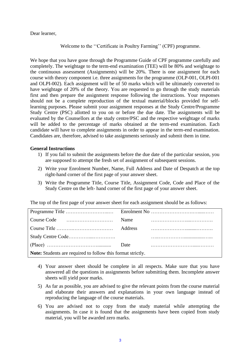#### Dear learner,

Welcome to the ''Certificate in Poultry Farming'' (CPF) programme.

We hope that you have gone through the Programme Guide of CPF programme carefully and completely. The weightage to the term-end examination (TEE) will be 80% and weightage to the continuous assessment (Assignments) will be 20%. There is one assignment for each course with theory component i.e. three assignments for the programme (OLP-001, OLPI-001 and OLPI-002). Each assignment will be of 50 marks which will be ultimately converted to have weightage of 20% of the theory. You are requested to go through the study materials first and then prepare the assignment response following the instructions. Your responses should not be a complete reproduction of the textual material/blocks provided for selflearning purposes. Please submit your assignment responses at the Study Centre/Programme Study Centre (PSC) allotted to you on or before the due date. The assignments will be evaluated by the Counsellors at the study centre/PSC and the respective weightage of marks will be added to the percentage of marks obtained at the term-end examination. Each candidate will have to complete assignments in order to appear in the term-end examination. Candidates are, therefore, advised to take assignments seriously and submit them in time.

#### **General Instructions**

- 1) If you fail to submit the assignments before the due date of the particular session, you are supposed to attempt the fresh set of assignment of subsequent sessions.
- 2) Write your Enrolment Number, Name, Full Address and Date of Despatch at the top right-hand corner of the first page of your answer sheet.
- 3) Write the Programme Title, Course Title, Assignment Code, Code and Place of the Study Centre on the left- hand corner of the first page of your answer sheet.

The top of the first page of your answer sheet for each assignment should be as follows:

|                                                             | Name           |  |  |
|-------------------------------------------------------------|----------------|--|--|
|                                                             | <b>Address</b> |  |  |
|                                                             |                |  |  |
|                                                             | Date           |  |  |
| Note: Students are required to follow this format strictly. |                |  |  |

- 4) Your answer sheet should be complete in all respects. Make sure that you have answered all the questions in assignments before submitting them. Incomplete answer sheets will yield poor marks.
- 5) As far as possible, you are advised to give the relevant points from the course material and elaborate their answers and explanations in your own language instead of reproducing the language of the course materials.
- 6) You are advised not to copy from the study material while attempting the assignments. In case it is found that the assignments have been copied from study material, you will be awarded zero marks.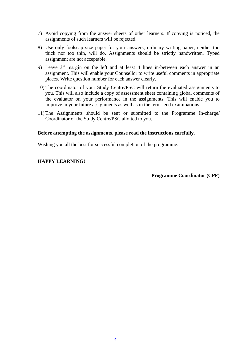- 7) Avoid copying from the answer sheets of other learners. If copying is noticed, the assignments of such learners will be rejected.
- 8) Use only foolscap size paper for your answers, ordinary writing paper, neither too thick nor too thin, will do. Assignments should be strictly handwritten. Typed assignment are not acceptable.
- 9) Leave 3" margin on the left and at least 4 lines in-between each answer in an assignment. This will enable your Counsellor to write useful comments in appropriate places. Write question number for each answer clearly.
- 10) The coordinator of your Study Centre/PSC will return the evaluated assignments to you. This will also include a copy of assessment sheet containing global comments of the evaluator on your performance in the assignments. This will enable you to improve in your future assignments as well as in the term- end examinations.
- 11) The Assignments should be sent or submitted to the Programme In-charge/ Coordinator of the Study Centre/PSC allotted to you.

#### **Before attempting the assignments, please read the instructions carefully.**

Wishing you all the best for successful completion of the programme.

### **HAPPY LEARNING!**

#### **Programme Coordinator (CPF)**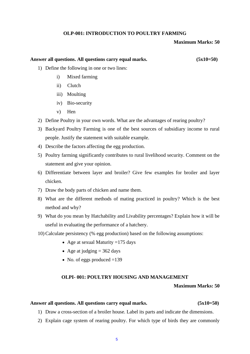#### **OLP-001: INTRODUCTION TO POULTRY FARMING**

#### **Maximum Marks: 50**

### **Answer all questions. All questions carry equal marks. (5x10=50)**

- 1) Define the following in one or two lines:
	- i) Mixed farming
	- ii) Clutch
	- iii) Moulting
	- iv) Bio-security
	- v) Hen
- 2) Define Poultry in your own words. What are the advantages of rearing poultry?
- 3) Backyard Poultry Farming is one of the best sources of subsidiary income to rural people. Justify the statement with suitable example.
- 4) Describe the factors affecting the egg production.
- 5) Poultry farming significantly contributes to rural livelihood security. Comment on the statement and give your opinion.
- 6) Differentiate between layer and broiler? Give few examples for broiler and layer chicken.
- 7) Draw the body parts of chicken and name them.
- 8) What are the different methods of mating practiced in poultry? Which is the best method and why?
- 9) What do you mean by Hatchability and Livability percentages? Explain how it will be useful in evaluating the performance of a hatchery.
- 10)Calculate persistency (% egg production) based on the following assumptions:
	- Age at sexual Maturity  $=175$  days
	- Age at judging  $= 362$  days
	- No. of eggs produced  $=139$

#### **OLPI- 001: POULTRY HOUSING AND MANAGEMENT**

#### **Maximum Marks: 50**

#### **Answer all questions. All questions carry equal marks. (5x10=50)**

- 1) Draw a cross-section of a broiler house. Label its parts and indicate the dimensions.
- 2) Explain cage system of rearing poultry. For which type of birds they are commonly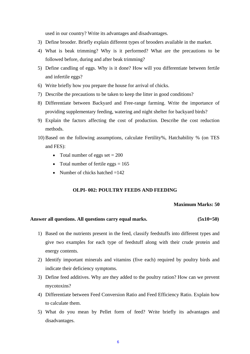used in our country? Write its advantages and disadvantages.

- 3) Define brooder. Briefly explain different types of brooders available in the market.
- 4) What is beak trimming? Why is it performed? What are the precautions to be followed before, during and after beak trimming?
- 5) Define candling of eggs. Why is it done? How will you differentiate between fertile and infertile eggs?
- 6) Write briefly how you prepare the house for arrival of chicks.
- 7) Describe the precautions to be taken to keep the litter in good conditions?
- 8) Differentiate between Backyard and Free-range farming. Write the importance of providing supplementary feeding, watering and night shelter for backyard birds?
- 9) Explain the factors affecting the cost of production. Describe the cost reduction methods.
- 10)Based on the following assumptions, calculate Fertility%, Hatchability % (on TES and FES):
	- Total number of eggs set  $= 200$
	- Total number of fertile eggs  $= 165$
	- Number of chicks hatched  $=142$

#### **OLPI- 002: POULTRY FEEDS AND FEEDING**

#### **Maximum Marks: 50**

#### **Answer all questions. All questions carry equal marks. (5x10=50)**

- 1) Based on the nutrients present in the feed, classify feedstuffs into different types and give two examples for each type of feedstuff along with their crude protein and energy contents.
- 2) Identify important minerals and vitamins (five each) required by poultry birds and indicate their deficiency symptoms.
- 3) Define feed additives. Why are they added to the poultry ration? How can we prevent mycotoxins?
- 4) Differentiate between Feed Conversion Ratio and Feed Efficiency Ratio. Explain how to calculate them.
- 5) What do you mean by Pellet form of feed? Write briefly its advantages and disadvantages.